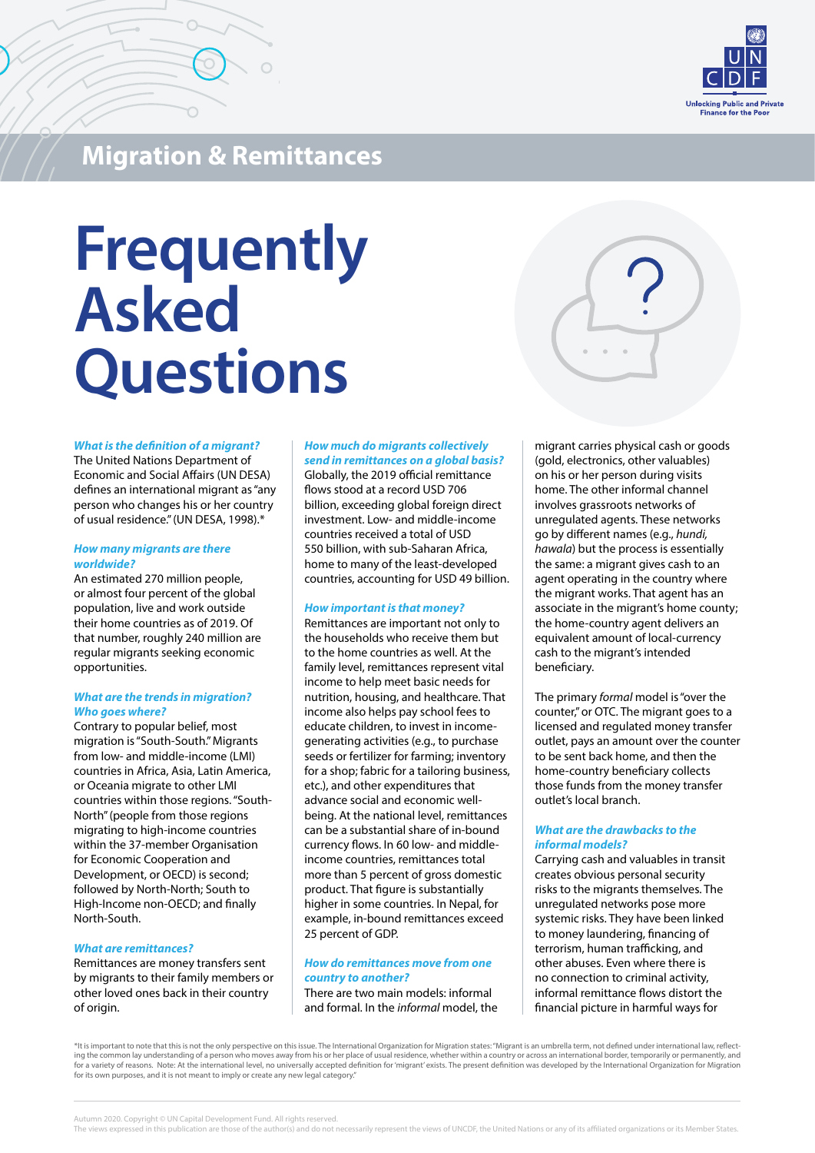

**Migration & Remittances**

# **Frequently Asked Questions**

#### *What is the definition of a migrant?*

The United Nations Department of Economic and Social Affairs (UN DESA) defines an international migrant as "any person who changes his or her country of usual residence." (UN DESA, 1998).\*

#### *How many migrants are there worldwide?*

An estimated 270 million people, or almost four percent of the global population, live and work outside their home countries as of 2019. Of that number, roughly 240 million are regular migrants seeking economic opportunities.

## *What are the trends in migration? Who goes where?*

Contrary to popular belief, most migration is "South-South." Migrants from low- and middle-income (LMI) countries in Africa, Asia, Latin America, or Oceania migrate to other LMI countries within those regions. "South-North" (people from those regions migrating to high-income countries within the 37-member Organisation for Economic Cooperation and Development, or OECD) is second; followed by North-North; South to High-Income non-OECD; and finally North-South.

## *What are remittances?*

Remittances are money transfers sent by migrants to their family members or other loved ones back in their country of origin.

## *How much do migrants collectively send in remittances on a global basis?*

Globally, the 2019 official remittance flows stood at a record USD 706 billion, exceeding global foreign direct investment. Low- and middle-income countries received a total of USD 550 billion, with sub-Saharan Africa, home to many of the least-developed countries, accounting for USD 49 billion.

# *How important is that money?*

Remittances are important not only to the households who receive them but to the home countries as well. At the family level, remittances represent vital income to help meet basic needs for nutrition, housing, and healthcare. That income also helps pay school fees to educate children, to invest in incomegenerating activities (e.g., to purchase seeds or fertilizer for farming; inventory for a shop; fabric for a tailoring business, etc.), and other expenditures that advance social and economic wellbeing. At the national level, remittances can be a substantial share of in-bound currency flows. In 60 low- and middleincome countries, remittances total more than 5 percent of gross domestic product. That figure is substantially higher in some countries. In Nepal, for example, in-bound remittances exceed 25 percent of GDP.

# *How do remittances move from one country to another?*

There are two main models: informal and formal. In the *informal* model, the migrant carries physical cash or goods (gold, electronics, other valuables) on his or her person during visits home. The other informal channel involves grassroots networks of unregulated agents. These networks go by different names (e.g., *hundi, hawala*) but the process is essentially the same: a migrant gives cash to an agent operating in the country where the migrant works. That agent has an associate in the migrant's home county; the home-country agent delivers an equivalent amount of local-currency cash to the migrant's intended beneficiary.

The primary *formal* model is "over the counter," or OTC. The migrant goes to a licensed and regulated money transfer outlet, pays an amount over the counter to be sent back home, and then the home-country beneficiary collects those funds from the money transfer outlet's local branch.

# *What are the drawbacks to the informal models?*

Carrying cash and valuables in transit creates obvious personal security risks to the migrants themselves. The unregulated networks pose more systemic risks. They have been linked to money laundering, financing of terrorism, human trafficking, and other abuses. Even where there is no connection to criminal activity, informal remittance flows distort the financial picture in harmful ways for

\*It is important to note that this is not the only perspective on this issue. The International Organization for Migration states: "Migrant is an umbrella term, not defined under international law, reflecting the common lay understanding of a person who moves away from his or her place of usual residence, whether within a country or across an international border, temporarily or permanently, and<br>for a variety of reasons. No for its own purposes, and it is not meant to imply or create any new legal category."

Autumn 2020. Copyright © UN Capital Development Fund. All rights reserved.

The views expressed in this publication are those of the author(s) and do not necessarily represent the views of UNCDF, the United Nations or any of its affiliated organizations or its Member States.